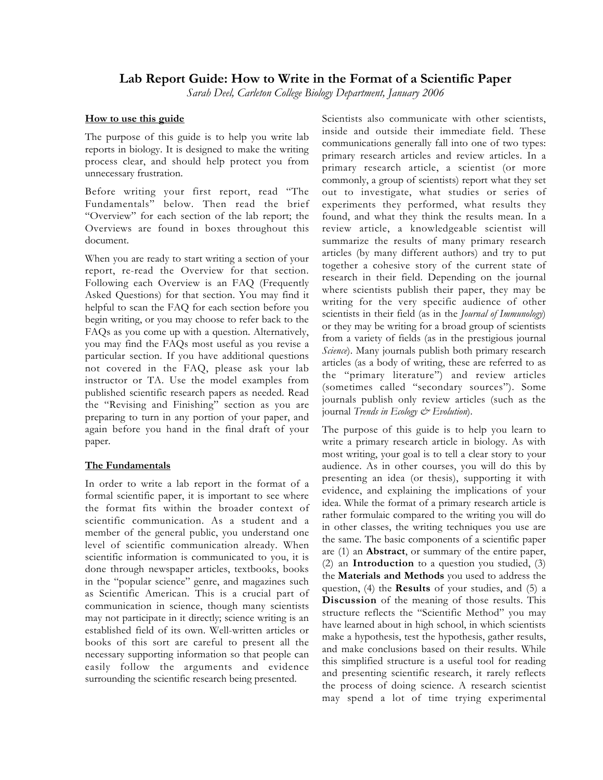# **Lab Report Guide: How to Write in the Format of a Scientific Paper**

*Sarah Deel, Carleton College Biology Department, January 2006*

# **How to use this guide**

The purpose of this guide is to help you write lab reports in biology. It is designed to make the writing process clear, and should help protect you from unnecessary frustration.

Before writing your first report, read "The Fundamentals" below. Then read the brief "Overview" for each section of the lab report; the Overviews are found in boxes throughout this document.

When you are ready to start writing a section of your report, re-read the Overview for that section. Following each Overview is an FAQ (Frequently Asked Questions) for that section. You may find it helpful to scan the FAQ for each section before you begin writing, or you may choose to refer back to the FAQs as you come up with a question. Alternatively, you may find the FAQs most useful as you revise a particular section. If you have additional questions not covered in the FAQ, please ask your lab instructor or TA. Use the model examples from published scientific research papers as needed. Read the "Revising and Finishing" section as you are preparing to turn in any portion of your paper, and again before you hand in the final draft of your paper.

# **The Fundamentals**

In order to write a lab report in the format of a formal scientific paper, it is important to see where the format fits within the broader context of scientific communication. As a student and a member of the general public, you understand one level of scientific communication already. When scientific information is communicated to you, it is done through newspaper articles, textbooks, books in the "popular science" genre, and magazines such as Scientific American. This is a crucial part of communication in science, though many scientists may not participate in it directly; science writing is an established field of its own. Well-written articles or books of this sort are careful to present all the necessary supporting information so that people can easily follow the arguments and evidence surrounding the scientific research being presented.

Scientists also communicate with other scientists, inside and outside their immediate field. These communications generally fall into one of two types: primary research articles and review articles. In a primary research article, a scientist (or more commonly, a group of scientists) report what they set out to investigate, what studies or series of experiments they performed, what results they found, and what they think the results mean. In a review article, a knowledgeable scientist will summarize the results of many primary research articles (by many different authors) and try to put together a cohesive story of the current state of research in their field. Depending on the journal where scientists publish their paper, they may be writing for the very specific audience of other scientists in their field (as in the *Journal of Immunology*) or they may be writing for a broad group of scientists from a variety of fields (as in the prestigious journal *Science*). Many journals publish both primary research articles (as a body of writing, these are referred to as the "primary literature") and review articles (sometimes called "secondary sources"). Some journals publish only review articles (such as the journal *Trends in Ecology & Evolution*).

The purpose of this guide is to help you learn to write a primary research article in biology. As with most writing, your goal is to tell a clear story to your audience. As in other courses, you will do this by presenting an idea (or thesis), supporting it with evidence, and explaining the implications of your idea. While the format of a primary research article is rather formulaic compared to the writing you will do in other classes, the writing techniques you use are the same. The basic components of a scientific paper are (1) an **Abstract**, or summary of the entire paper, (2) an **Introduction** to a question you studied, (3) the **Materials and Methods** you used to address the question, (4) the **Results** of your studies, and (5) a **Discussion** of the meaning of those results. This structure reflects the "Scientific Method" you may have learned about in high school, in which scientists make a hypothesis, test the hypothesis, gather results, and make conclusions based on their results. While this simplified structure is a useful tool for reading and presenting scientific research, it rarely reflects the process of doing science. A research scientist may spend a lot of time trying experimental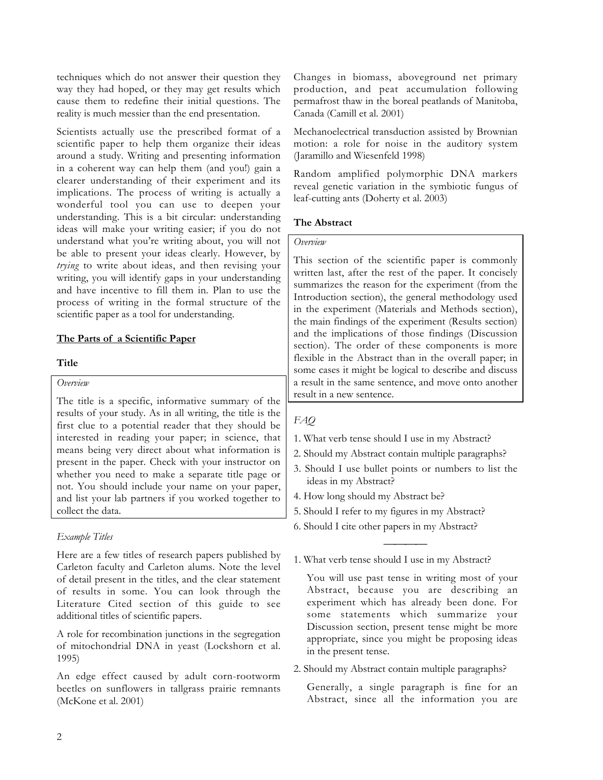techniques which do not answer their question they way they had hoped, or they may get results which cause them to redefine their initial questions. The reality is much messier than the end presentation.

Scientists actually use the prescribed format of a scientific paper to help them organize their ideas around a study. Writing and presenting information in a coherent way can help them (and you!) gain a clearer understanding of their experiment and its implications. The process of writing is actually a wonderful tool you can use to deepen your understanding. This is a bit circular: understanding ideas will make your writing easier; if you do not understand what you're writing about, you will not be able to present your ideas clearly. However, by *trying* to write about ideas, and then revising your writing, you will identify gaps in your understanding and have incentive to fill them in. Plan to use the process of writing in the formal structure of the scientific paper as a tool for understanding.

# **The Parts of a Scientific Paper**

## **Title**

## *Overview*

The title is a specific, informative summary of the results of your study. As in all writing, the title is the first clue to a potential reader that they should be interested in reading your paper; in science, that means being very direct about what information is present in the paper. Check with your instructor on whether you need to make a separate title page or not. You should include your name on your paper, and list your lab partners if you worked together to collect the data.

# *Example Titles*

Here are a few titles of research papers published by Carleton faculty and Carleton alums. Note the level of detail present in the titles, and the clear statement of results in some. You can look through the Literature Cited section of this guide to see additional titles of scientific papers.

A role for recombination junctions in the segregation of mitochondrial DNA in yeast (Lockshorn et al. 1995)

An edge effect caused by adult corn-rootworm beetles on sunflowers in tallgrass prairie remnants (McKone et al. 2001)

Changes in biomass, aboveground net primary production, and peat accumulation following permafrost thaw in the boreal peatlands of Manitoba, Canada (Camill et al. 2001)

Mechanoelectrical transduction assisted by Brownian motion: a role for noise in the auditory system (Jaramillo and Wiesenfeld 1998)

Random amplified polymorphic DNA markers reveal genetic variation in the symbiotic fungus of leaf-cutting ants (Doherty et al. 2003)

## **The Abstract**

### *Overview*

This section of the scientific paper is commonly written last, after the rest of the paper. It concisely summarizes the reason for the experiment (from the Introduction section), the general methodology used in the experiment (Materials and Methods section), the main findings of the experiment (Results section) and the implications of those findings (Discussion section). The order of these components is more flexible in the Abstract than in the overall paper; in some cases it might be logical to describe and discuss a result in the same sentence, and move onto another result in a new sentence.

# *FAQ*

- 1. What verb tense should I use in my Abstract?
- 2. Should my Abstract contain multiple paragraphs?
- 3. Should I use bullet points or numbers to list the ideas in my Abstract?

 $\overline{\phantom{a}}$ 

- 4. How long should my Abstract be?
- 5. Should I refer to my figures in my Abstract?
- 6. Should I cite other papers in my Abstract?
- 1. What verb tense should I use in my Abstract?

You will use past tense in writing most of your Abstract, because you are describing an experiment which has already been done. For some statements which summarize your Discussion section, present tense might be more appropriate, since you might be proposing ideas in the present tense.

2. Should my Abstract contain multiple paragraphs?

Generally, a single paragraph is fine for an Abstract, since all the information you are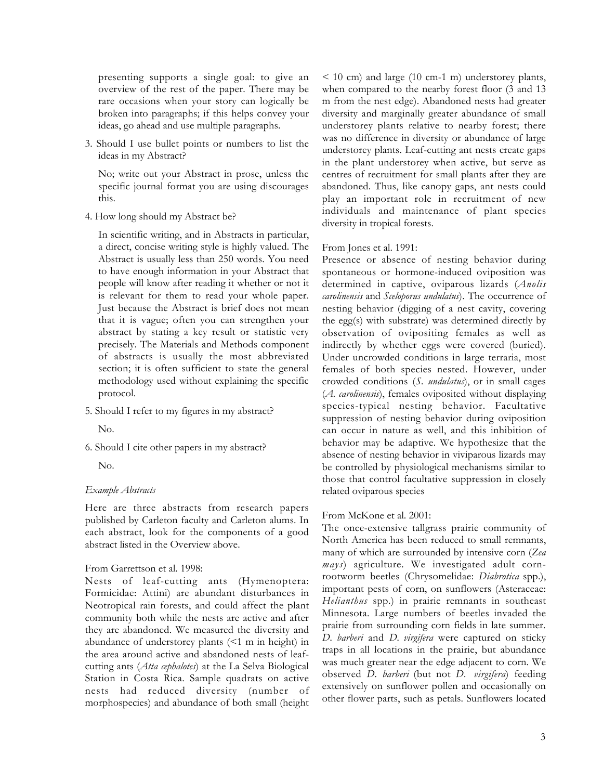presenting supports a single goal: to give an overview of the rest of the paper. There may be rare occasions when your story can logically be broken into paragraphs; if this helps convey your ideas, go ahead and use multiple paragraphs.

3. Should I use bullet points or numbers to list the ideas in my Abstract?

No; write out your Abstract in prose, unless the specific journal format you are using discourages this.

4. How long should my Abstract be?

In scientific writing, and in Abstracts in particular, a direct, concise writing style is highly valued. The Abstract is usually less than 250 words. You need to have enough information in your Abstract that people will know after reading it whether or not it is relevant for them to read your whole paper. Just because the Abstract is brief does not mean that it is vague; often you can strengthen your abstract by stating a key result or statistic very precisely. The Materials and Methods component of abstracts is usually the most abbreviated section; it is often sufficient to state the general methodology used without explaining the specific protocol.

5. Should I refer to my figures in my abstract?

No.

6. Should I cite other papers in my abstract?

No.

# *Example Abstracts*

Here are three abstracts from research papers published by Carleton faculty and Carleton alums. In each abstract, look for the components of a good abstract listed in the Overview above.

# From Garrettson et al. 1998:

Nests of leaf-cutting ants (Hymenoptera: Formicidae: Attini) are abundant disturbances in Neotropical rain forests, and could affect the plant community both while the nests are active and after they are abandoned. We measured the diversity and abundance of understorey plants (<1 m in height) in the area around active and abandoned nests of leafcutting ants (*Atta cephalotes*) at the La Selva Biological Station in Costa Rica. Sample quadrats on active nests had reduced diversity (number of morphospecies) and abundance of both small (height

< 10 cm) and large (10 cm-1 m) understorey plants, when compared to the nearby forest floor (3 and 13 m from the nest edge). Abandoned nests had greater diversity and marginally greater abundance of small understorey plants relative to nearby forest; there was no difference in diversity or abundance of large understorey plants. Leaf-cutting ant nests create gaps in the plant understorey when active, but serve as centres of recruitment for small plants after they are abandoned. Thus, like canopy gaps, ant nests could play an important role in recruitment of new individuals and maintenance of plant species diversity in tropical forests.

### From Jones et al. 1991:

Presence or absence of nesting behavior during spontaneous or hormone-induced oviposition was determined in captive, oviparous lizards (*Anolis carolinensis* and *Sceloporus undulatus*). The occurrence of nesting behavior (digging of a nest cavity, covering the egg(s) with substrate) was determined directly by observation of ovipositing females as well as indirectly by whether eggs were covered (buried). Under uncrowded conditions in large terraria, most females of both species nested. However, under crowded conditions (*S. undulatus*), or in small cages (*A. carolinensis*), females oviposited without displaying species-typical nesting behavior. Facultative suppression of nesting behavior during oviposition can occur in nature as well, and this inhibition of behavior may be adaptive. We hypothesize that the absence of nesting behavior in viviparous lizards may be controlled by physiological mechanisms similar to those that control facultative suppression in closely related oviparous species

# From McKone et al. 2001:

The once-extensive tallgrass prairie community of North America has been reduced to small remnants, many of which are surrounded by intensive corn (*Zea mays*) agriculture. We investigated adult cornrootworm beetles (Chrysomelidae: *Diabrotica* spp.), important pests of corn, on sunflowers (Asteraceae: *Helianthus* spp.) in prairie remnants in southeast Minnesota. Large numbers of beetles invaded the prairie from surrounding corn fields in late summer. *D. barberi* and *D. virgifera* were captured on sticky traps in all locations in the prairie, but abundance was much greater near the edge adjacent to corn. We observed *D. barberi* (but not *D. virgifera*) feeding extensively on sunflower pollen and occasionally on other flower parts, such as petals. Sunflowers located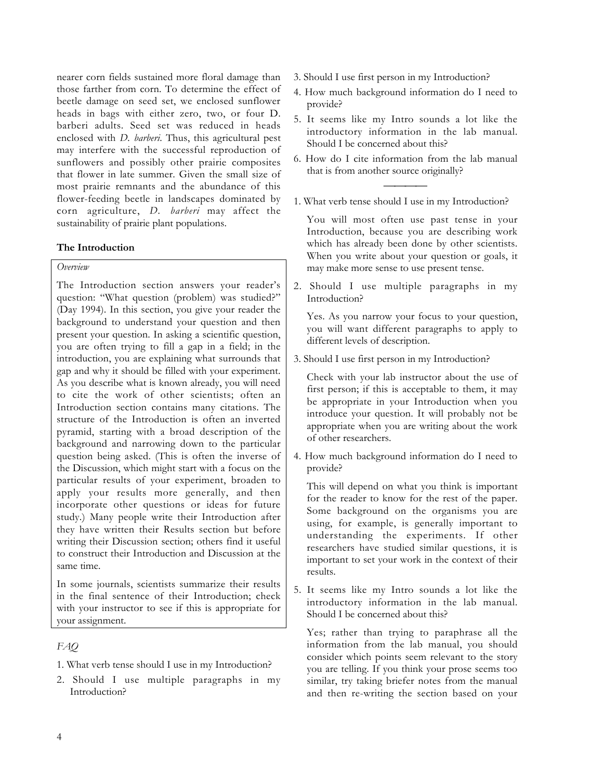nearer corn fields sustained more floral damage than those farther from corn. To determine the effect of beetle damage on seed set, we enclosed sunflower heads in bags with either zero, two, or four D. barberi adults. Seed set was reduced in heads enclosed with *D. barberi*. Thus, this agricultural pest may interfere with the successful reproduction of sunflowers and possibly other prairie composites that flower in late summer. Given the small size of most prairie remnants and the abundance of this flower-feeding beetle in landscapes dominated by corn agriculture, *D. barberi* may affect the sustainability of prairie plant populations.

# **The Introduction**

# *Overview*

The Introduction section answers your reader's question: "What question (problem) was studied?" (Day 1994). In this section, you give your reader the background to understand your question and then present your question. In asking a scientific question, you are often trying to fill a gap in a field; in the introduction, you are explaining what surrounds that gap and why it should be filled with your experiment. As you describe what is known already, you will need to cite the work of other scientists; often an Introduction section contains many citations. The structure of the Introduction is often an inverted pyramid, starting with a broad description of the background and narrowing down to the particular question being asked. (This is often the inverse of the Discussion, which might start with a focus on the particular results of your experiment, broaden to apply your results more generally, and then incorporate other questions or ideas for future study.) Many people write their Introduction after they have written their Results section but before writing their Discussion section; others find it useful to construct their Introduction and Discussion at the same time.

In some journals, scientists summarize their results in the final sentence of their Introduction; check with your instructor to see if this is appropriate for your assignment.

# *FAQ*

- 1. What verb tense should I use in my Introduction?
- 2. Should I use multiple paragraphs in my Introduction?
- 3. Should I use first person in my Introduction?
- 4. How much background information do I need to provide?
- 5. It seems like my Intro sounds a lot like the introductory information in the lab manual. Should I be concerned about this?
- 6. How do I cite information from the lab manual that is from another source originally?
- $\overline{\phantom{a}}$ 1. What verb tense should I use in my Introduction?

You will most often use past tense in your Introduction, because you are describing work which has already been done by other scientists. When you write about your question or goals, it may make more sense to use present tense.

2. Should I use multiple paragraphs in my Introduction?

Yes. As you narrow your focus to your question, you will want different paragraphs to apply to different levels of description.

3. Should I use first person in my Introduction?

Check with your lab instructor about the use of first person; if this is acceptable to them, it may be appropriate in your Introduction when you introduce your question. It will probably not be appropriate when you are writing about the work of other researchers.

4. How much background information do I need to provide?

This will depend on what you think is important for the reader to know for the rest of the paper. Some background on the organisms you are using, for example, is generally important to understanding the experiments. If other researchers have studied similar questions, it is important to set your work in the context of their results.

5. It seems like my Intro sounds a lot like the introductory information in the lab manual. Should I be concerned about this?

Yes; rather than trying to paraphrase all the information from the lab manual, you should consider which points seem relevant to the story you are telling. If you think your prose seems too similar, try taking briefer notes from the manual and then re-writing the section based on your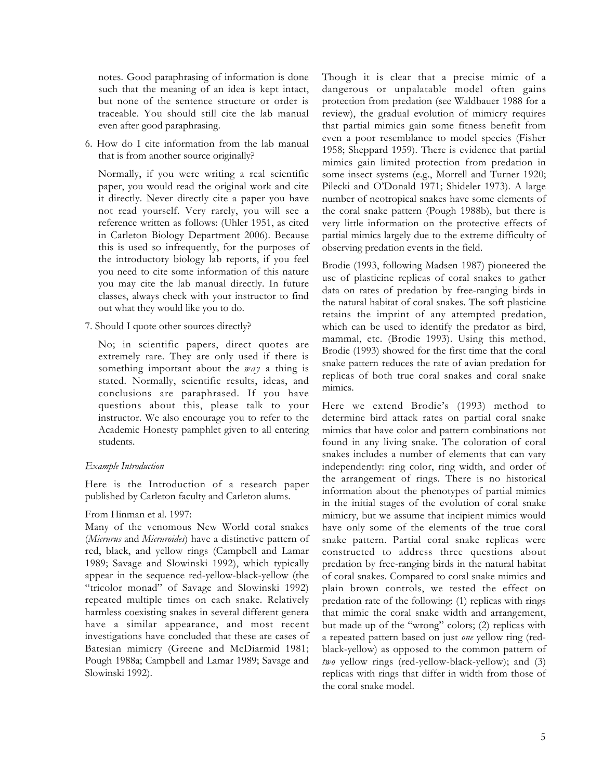notes. Good paraphrasing of information is done such that the meaning of an idea is kept intact, but none of the sentence structure or order is traceable. You should still cite the lab manual even after good paraphrasing.

6. How do I cite information from the lab manual that is from another source originally?

Normally, if you were writing a real scientific paper, you would read the original work and cite it directly. Never directly cite a paper you have not read yourself. Very rarely, you will see a reference written as follows: (Uhler 1951, as cited in Carleton Biology Department 2006). Because this is used so infrequently, for the purposes of the introductory biology lab reports, if you feel you need to cite some information of this nature you may cite the lab manual directly. In future classes, always check with your instructor to find out what they would like you to do.

7. Should I quote other sources directly?

No; in scientific papers, direct quotes are extremely rare. They are only used if there is something important about the *way* a thing is stated. Normally, scientific results, ideas, and conclusions are paraphrased. If you have questions about this, please talk to your instructor. We also encourage you to refer to the Academic Honesty pamphlet given to all entering students.

# *Example Introduction*

Here is the Introduction of a research paper published by Carleton faculty and Carleton alums.

# From Hinman et al. 1997:

Many of the venomous New World coral snakes (*Micrurus* and *Micruroides*) have a distinctive pattern of red, black, and yellow rings (Campbell and Lamar 1989; Savage and Slowinski 1992), which typically appear in the sequence red-yellow-black-yellow (the "tricolor monad" of Savage and Slowinski 1992) repeated multiple times on each snake. Relatively harmless coexisting snakes in several different genera have a similar appearance, and most recent investigations have concluded that these are cases of Batesian mimicry (Greene and McDiarmid 1981; Pough 1988a; Campbell and Lamar 1989; Savage and Slowinski 1992).

Though it is clear that a precise mimic of a dangerous or unpalatable model often gains protection from predation (see Waldbauer 1988 for a review), the gradual evolution of mimicry requires that partial mimics gain some fitness benefit from even a poor resemblance to model species (Fisher 1958; Sheppard 1959). There is evidence that partial mimics gain limited protection from predation in some insect systems (e.g., Morrell and Turner 1920; Pilecki and O'Donald 1971; Shideler 1973). A large number of neotropical snakes have some elements of the coral snake pattern (Pough 1988b), but there is very little information on the protective effects of partial mimics largely due to the extreme difficulty of observing predation events in the field.

Brodie (1993, following Madsen 1987) pioneered the use of plasticine replicas of coral snakes to gather data on rates of predation by free-ranging birds in the natural habitat of coral snakes. The soft plasticine retains the imprint of any attempted predation, which can be used to identify the predator as bird, mammal, etc. (Brodie 1993). Using this method, Brodie (1993) showed for the first time that the coral snake pattern reduces the rate of avian predation for replicas of both true coral snakes and coral snake mimics.

Here we extend Brodie's (1993) method to determine bird attack rates on partial coral snake mimics that have color and pattern combinations not found in any living snake. The coloration of coral snakes includes a number of elements that can vary independently: ring color, ring width, and order of the arrangement of rings. There is no historical information about the phenotypes of partial mimics in the initial stages of the evolution of coral snake mimicry, but we assume that incipient mimics would have only some of the elements of the true coral snake pattern. Partial coral snake replicas were constructed to address three questions about predation by free-ranging birds in the natural habitat of coral snakes. Compared to coral snake mimics and plain brown controls, we tested the effect on predation rate of the following: (1) replicas with rings that mimic the coral snake width and arrangement, but made up of the "wrong" colors; (2) replicas with a repeated pattern based on just *one* yellow ring (redblack-yellow) as opposed to the common pattern of *two* yellow rings (red-yellow-black-yellow); and (3) replicas with rings that differ in width from those of the coral snake model.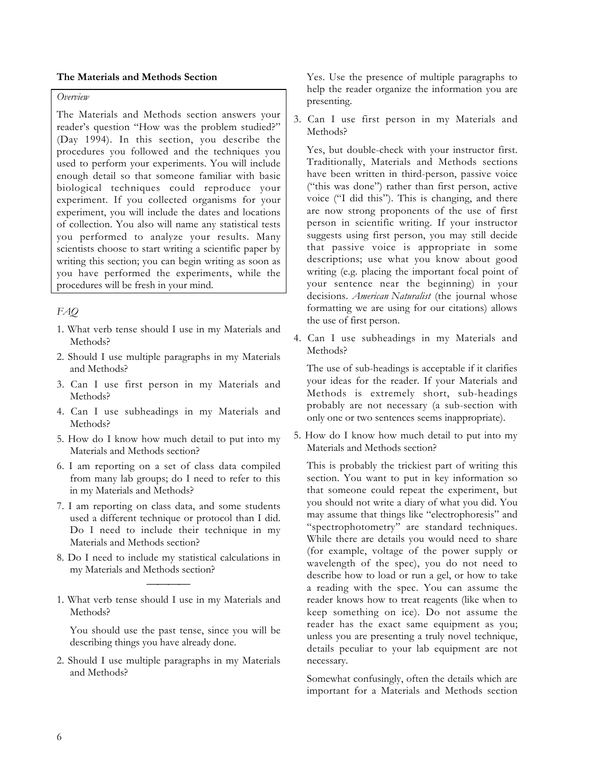## **The Materials and Methods Section**

# *Overview*

The Materials and Methods section answers your reader's question "How was the problem studied?" (Day 1994). In this section, you describe the procedures you followed and the techniques you used to perform your experiments. You will include enough detail so that someone familiar with basic biological techniques could reproduce your experiment. If you collected organisms for your experiment, you will include the dates and locations of collection. You also will name any statistical tests you performed to analyze your results. Many scientists choose to start writing a scientific paper by writing this section; you can begin writing as soon as you have performed the experiments, while the procedures will be fresh in your mind.

# *FAQ*

- 1. What verb tense should I use in my Materials and Methods?
- 2. Should I use multiple paragraphs in my Materials and Methods?
- 3. Can I use first person in my Materials and Methods?
- 4. Can I use subheadings in my Materials and Methods?
- 5. How do I know how much detail to put into my Materials and Methods section?
- 6. I am reporting on a set of class data compiled from many lab groups; do I need to refer to this in my Materials and Methods?
- 7. I am reporting on class data, and some students used a different technique or protocol than I did. Do I need to include their technique in my Materials and Methods section?
- 8. Do I need to include my statistical calculations in my Materials and Methods section?

 $\overline{\phantom{a}}$ 

1. What verb tense should I use in my Materials and Methods?

You should use the past tense, since you will be describing things you have already done.

2. Should I use multiple paragraphs in my Materials and Methods?

Yes. Use the presence of multiple paragraphs to help the reader organize the information you are presenting.

3. Can I use first person in my Materials and Methods?

Yes, but double-check with your instructor first. Traditionally, Materials and Methods sections have been written in third-person, passive voice ("this was done") rather than first person, active voice ("I did this"). This is changing, and there are now strong proponents of the use of first person in scientific writing. If your instructor suggests using first person, you may still decide that passive voice is appropriate in some descriptions; use what you know about good writing (e.g. placing the important focal point of your sentence near the beginning) in your decisions. *American Naturalist* (the journal whose formatting we are using for our citations) allows the use of first person.

4. Can I use subheadings in my Materials and Methods?

The use of sub-headings is acceptable if it clarifies your ideas for the reader. If your Materials and Methods is extremely short, sub-headings probably are not necessary (a sub-section with only one or two sentences seems inappropriate).

5. How do I know how much detail to put into my Materials and Methods section?

This is probably the trickiest part of writing this section. You want to put in key information so that someone could repeat the experiment, but you should not write a diary of what you did. You may assume that things like "electrophoresis" and "spectrophotometry" are standard techniques. While there are details you would need to share (for example, voltage of the power supply or wavelength of the spec), you do not need to describe how to load or run a gel, or how to take a reading with the spec. You can assume the reader knows how to treat reagents (like when to keep something on ice). Do not assume the reader has the exact same equipment as you; unless you are presenting a truly novel technique, details peculiar to your lab equipment are not necessary.

Somewhat confusingly, often the details which are important for a Materials and Methods section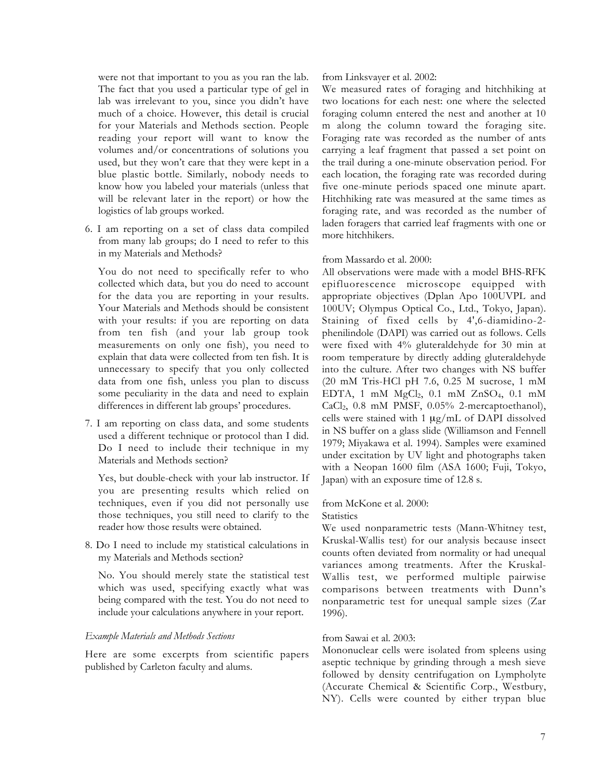were not that important to you as you ran the lab. The fact that you used a particular type of gel in lab was irrelevant to you, since you didn't have much of a choice. However, this detail is crucial for your Materials and Methods section. People reading your report will want to know the volumes and/or concentrations of solutions you used, but they won't care that they were kept in a blue plastic bottle. Similarly, nobody needs to know how you labeled your materials (unless that will be relevant later in the report) or how the logistics of lab groups worked.

6. I am reporting on a set of class data compiled from many lab groups; do I need to refer to this in my Materials and Methods?

You do not need to specifically refer to who collected which data, but you do need to account for the data you are reporting in your results. Your Materials and Methods should be consistent with your results: if you are reporting on data from ten fish (and your lab group took measurements on only one fish), you need to explain that data were collected from ten fish. It is unnecessary to specify that you only collected data from one fish, unless you plan to discuss some peculiarity in the data and need to explain differences in different lab groups' procedures.

7. I am reporting on class data, and some students used a different technique or protocol than I did. Do I need to include their technique in my Materials and Methods section?

Yes, but double-check with your lab instructor. If you are presenting results which relied on techniques, even if you did not personally use those techniques, you still need to clarify to the reader how those results were obtained.

8. Do I need to include my statistical calculations in my Materials and Methods section?

No. You should merely state the statistical test which was used, specifying exactly what was being compared with the test. You do not need to include your calculations anywhere in your report.

### *Example Materials and Methods Sections*

Here are some excerpts from scientific papers published by Carleton faculty and alums.

### from Linksvayer et al. 2002:

We measured rates of foraging and hitchhiking at two locations for each nest: one where the selected foraging column entered the nest and another at 10 m along the column toward the foraging site. Foraging rate was recorded as the number of ants carrying a leaf fragment that passed a set point on the trail during a one-minute observation period. For each location, the foraging rate was recorded during five one-minute periods spaced one minute apart. Hitchhiking rate was measured at the same times as foraging rate, and was recorded as the number of laden foragers that carried leaf fragments with one or more hitchhikers.

## from Massardo et al. 2000:

All observations were made with a model BHS-RFK epifluorescence microscope equipped with appropriate objectives (Dplan Apo 100UVPL and 100UV; Olympus Optical Co., Ltd., Tokyo, Japan). Staining of fixed cells by 4',6-diamidino-2 phenilindole (DAPI) was carried out as follows. Cells were fixed with 4% gluteraldehyde for 30 min at room temperature by directly adding gluteraldehyde into the culture. After two changes with NS buffer (20 mM Tris-HCl pH 7.6, 0.25 M sucrose, 1 mM EDTA, 1 mM MgCl2, 0.1 mM ZnSO4, 0.1 mM CaCl2, 0.8 mM PMSF, 0.05% 2-mercaptoethanol), cells were stained with 1 µg/mL of DAPI dissolved in NS buffer on a glass slide (Williamson and Fennell 1979; Miyakawa et al. 1994). Samples were examined under excitation by UV light and photographs taken with a Neopan 1600 film (ASA 1600; Fuji, Tokyo, Japan) with an exposure time of 12.8 s.

## from McKone et al. 2000:

**Statistics** 

We used nonparametric tests (Mann-Whitney test, Kruskal-Wallis test) for our analysis because insect counts often deviated from normality or had unequal variances among treatments. After the Kruskal-Wallis test, we performed multiple pairwise comparisons between treatments with Dunn's nonparametric test for unequal sample sizes (Zar 1996).

#### from Sawai et al. 2003:

Mononuclear cells were isolated from spleens using aseptic technique by grinding through a mesh sieve followed by density centrifugation on Lympholyte (Accurate Chemical & Scientific Corp., Westbury, NY). Cells were counted by either trypan blue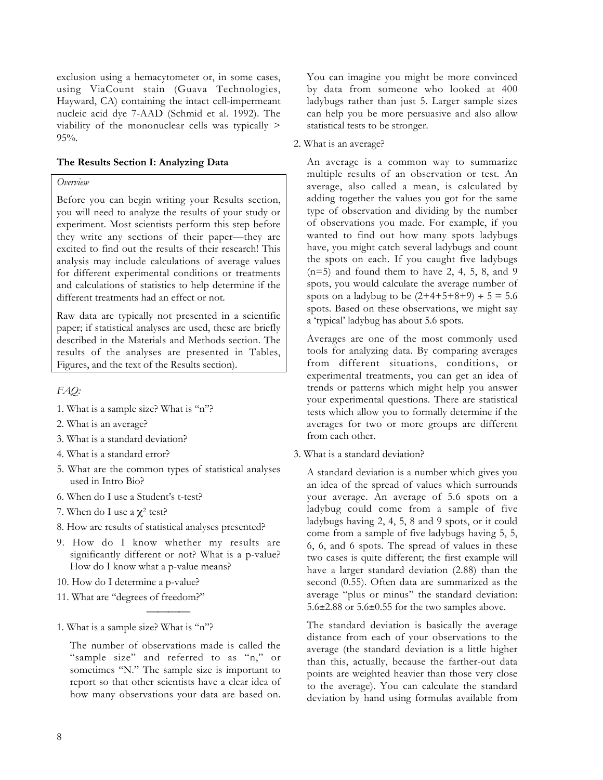exclusion using a hemacytometer or, in some cases, using ViaCount stain (Guava Technologies, Hayward, CA) containing the intact cell-impermeant nucleic acid dye 7-AAD (Schmid et al. 1992). The viability of the mononuclear cells was typically > 95%.

# **The Results Section I: Analyzing Data**

### *Overview*

Before you can begin writing your Results section, you will need to analyze the results of your study or experiment. Most scientists perform this step before they write any sections of their paper—they are excited to find out the results of their research! This analysis may include calculations of average values for different experimental conditions or treatments and calculations of statistics to help determine if the different treatments had an effect or not.

Raw data are typically not presented in a scientific paper; if statistical analyses are used, these are briefly described in the Materials and Methods section. The results of the analyses are presented in Tables, Figures, and the text of the Results section).

*FAQ:*

- 1. What is a sample size? What is "n"?
- 2. What is an average?
- 3. What is a standard deviation?
- 4. What is a standard error?
- 5. What are the common types of statistical analyses used in Intro Bio?
- 6. When do I use a Student's t-test?
- 7. When do I use a  $\chi^2$  test?
- 8. How are results of statistical analyses presented?
- 9. How do I know whether my results are significantly different or not? What is a p-value? How do I know what a p-value means?

 $\overline{\phantom{a}}$ 

- 10. How do I determine a p-value?
- 11. What are "degrees of freedom?"

1. What is a sample size? What is "n"?

The number of observations made is called the "sample size" and referred to as "n," or sometimes "N." The sample size is important to report so that other scientists have a clear idea of how many observations your data are based on.

You can imagine you might be more convinced by data from someone who looked at 400 ladybugs rather than just 5. Larger sample sizes can help you be more persuasive and also allow statistical tests to be stronger.

2. What is an average?

An average is a common way to summarize multiple results of an observation or test. An average, also called a mean, is calculated by adding together the values you got for the same type of observation and dividing by the number of observations you made. For example, if you wanted to find out how many spots ladybugs have, you might catch several ladybugs and count the spots on each. If you caught five ladybugs  $(n=5)$  and found them to have 2, 4, 5, 8, and 9 spots, you would calculate the average number of spots on a ladybug to be  $(2+4+5+8+9) \div 5 = 5.6$ spots. Based on these observations, we might say a 'typical' ladybug has about 5.6 spots.

Averages are one of the most commonly used tools for analyzing data. By comparing averages from different situations, conditions, or experimental treatments, you can get an idea of trends or patterns which might help you answer your experimental questions. There are statistical tests which allow you to formally determine if the averages for two or more groups are different from each other.

3. What is a standard deviation?

A standard deviation is a number which gives you an idea of the spread of values which surrounds your average. An average of 5.6 spots on a ladybug could come from a sample of five ladybugs having 2, 4, 5, 8 and 9 spots, or it could come from a sample of five ladybugs having 5, 5, 6, 6, and 6 spots. The spread of values in these two cases is quite different; the first example will have a larger standard deviation (2.88) than the second (0.55). Often data are summarized as the average "plus or minus" the standard deviation: 5.6±2.88 or 5.6±0.55 for the two samples above.

The standard deviation is basically the average distance from each of your observations to the average (the standard deviation is a little higher than this, actually, because the farther-out data points are weighted heavier than those very close to the average). You can calculate the standard deviation by hand using formulas available from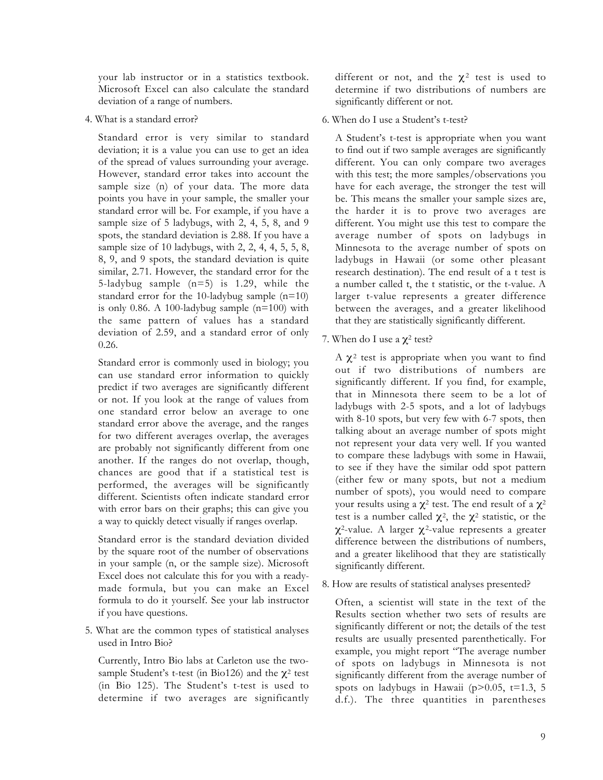your lab instructor or in a statistics textbook. Microsoft Excel can also calculate the standard deviation of a range of numbers.

4. What is a standard error?

Standard error is very similar to standard deviation; it is a value you can use to get an idea of the spread of values surrounding your average. However, standard error takes into account the sample size (n) of your data. The more data points you have in your sample, the smaller your standard error will be. For example, if you have a sample size of 5 ladybugs, with 2, 4, 5, 8, and 9 spots, the standard deviation is 2.88. If you have a sample size of 10 ladybugs, with 2, 2, 4, 4, 5, 5, 8, 8, 9, and 9 spots, the standard deviation is quite similar, 2.71. However, the standard error for the 5-ladybug sample (n=5) is 1.29, while the standard error for the 10-ladybug sample (n=10) is only 0.86. A 100-ladybug sample (n=100) with the same pattern of values has a standard deviation of 2.59, and a standard error of only 0.26.

Standard error is commonly used in biology; you can use standard error information to quickly predict if two averages are significantly different or not. If you look at the range of values from one standard error below an average to one standard error above the average, and the ranges for two different averages overlap, the averages are probably not significantly different from one another. If the ranges do not overlap, though, chances are good that if a statistical test is performed, the averages will be significantly different. Scientists often indicate standard error with error bars on their graphs; this can give you a way to quickly detect visually if ranges overlap.

Standard error is the standard deviation divided by the square root of the number of observations in your sample (n, or the sample size). Microsoft Excel does not calculate this for you with a readymade formula, but you can make an Excel formula to do it yourself. See your lab instructor if you have questions.

5. What are the common types of statistical analyses used in Intro Bio?

Currently, Intro Bio labs at Carleton use the twosample Student's t-test (in Bio126) and the  $\chi^2$  test (in Bio 125). The Student's t-test is used to determine if two averages are significantly different or not, and the  $\chi^2$  test is used to determine if two distributions of numbers are significantly different or not.

6. When do I use a Student's t-test?

A Student's t-test is appropriate when you want to find out if two sample averages are significantly different. You can only compare two averages with this test; the more samples/observations you have for each average, the stronger the test will be. This means the smaller your sample sizes are, the harder it is to prove two averages are different. You might use this test to compare the average number of spots on ladybugs in Minnesota to the average number of spots on ladybugs in Hawaii (or some other pleasant research destination). The end result of a t test is a number called t, the t statistic, or the t-value. A larger t-value represents a greater difference between the averages, and a greater likelihood that they are statistically significantly different.

7. When do I use a  $\chi^2$  test?

 $A$   $χ²$  test is appropriate when you want to find out if two distributions of numbers are significantly different. If you find, for example, that in Minnesota there seem to be a lot of ladybugs with 2-5 spots, and a lot of ladybugs with 8-10 spots, but very few with 6-7 spots, then talking about an average number of spots might not represent your data very well. If you wanted to compare these ladybugs with some in Hawaii, to see if they have the similar odd spot pattern (either few or many spots, but not a medium number of spots), you would need to compare your results using a  $\chi^2$  test. The end result of a  $\chi^2$ test is a number called  $\chi^2$ , the  $\chi^2$  statistic, or the  $\chi^2$ -value. A larger  $\chi^2$ -value represents a greater difference between the distributions of numbers, and a greater likelihood that they are statistically significantly different.

8. How are results of statistical analyses presented?

Often, a scientist will state in the text of the Results section whether two sets of results are significantly different or not; the details of the test results are usually presented parenthetically. For example, you might report "The average number of spots on ladybugs in Minnesota is not significantly different from the average number of spots on ladybugs in Hawaii ( $p$ >0.05, t=1.3, 5 d.f.). The three quantities in parentheses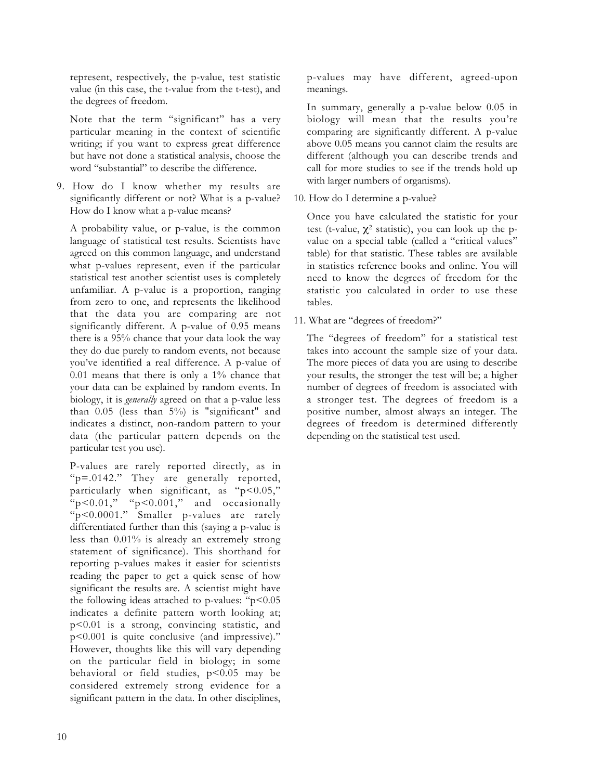represent, respectively, the p-value, test statistic value (in this case, the t-value from the t-test), and the degrees of freedom.

Note that the term "significant" has a very particular meaning in the context of scientific writing; if you want to express great difference but have not done a statistical analysis, choose the word "substantial" to describe the difference.

9. How do I know whether my results are significantly different or not? What is a p-value? How do I know what a p-value means?

A probability value, or p-value, is the common language of statistical test results. Scientists have agreed on this common language, and understand what p-values represent, even if the particular statistical test another scientist uses is completely unfamiliar. A p-value is a proportion, ranging from zero to one, and represents the likelihood that the data you are comparing are not significantly different. A p-value of 0.95 means there is a 95% chance that your data look the way they do due purely to random events, not because you've identified a real difference. A p-value of 0.01 means that there is only a 1% chance that your data can be explained by random events. In biology, it is *generally* agreed on that a p-value less than  $0.05$  (less than  $5\%$ ) is "significant" and indicates a distinct, non-random pattern to your data (the particular pattern depends on the particular test you use).

P-values are rarely reported directly, as in "p=.0142." They are generally reported, particularly when significant, as " $p<0.05$ ," "p<0.01," "p<0.001," and occasionally "p<0.0001." Smaller p-values are rarely differentiated further than this (saying a p-value is less than 0.01% is already an extremely strong statement of significance). This shorthand for reporting p-values makes it easier for scientists reading the paper to get a quick sense of how significant the results are. A scientist might have the following ideas attached to p-values: " $p$ <0.05 indicates a definite pattern worth looking at; p<0.01 is a strong, convincing statistic, and p<0.001 is quite conclusive (and impressive)." However, thoughts like this will vary depending on the particular field in biology; in some behavioral or field studies,  $p < 0.05$  may be considered extremely strong evidence for a significant pattern in the data. In other disciplines,

p-values may have different, agreed-upon meanings.

In summary, generally a p-value below 0.05 in biology will mean that the results you're comparing are significantly different. A p-value above 0.05 means you cannot claim the results are different (although you can describe trends and call for more studies to see if the trends hold up with larger numbers of organisms).

10. How do I determine a p-value?

Once you have calculated the statistic for your test (t-value,  $\chi^2$  statistic), you can look up the pvalue on a special table (called a "critical values" table) for that statistic. These tables are available in statistics reference books and online. You will need to know the degrees of freedom for the statistic you calculated in order to use these tables.

11. What are "degrees of freedom?"

The "degrees of freedom" for a statistical test takes into account the sample size of your data. The more pieces of data you are using to describe your results, the stronger the test will be; a higher number of degrees of freedom is associated with a stronger test. The degrees of freedom is a positive number, almost always an integer. The degrees of freedom is determined differently depending on the statistical test used.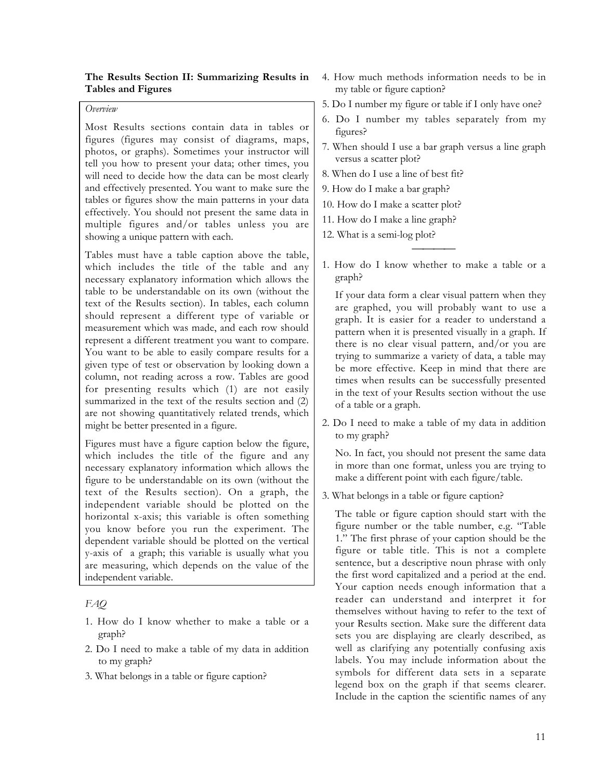# **The Results Section II: Summarizing Results in Tables and Figures**

### *Overview*

Most Results sections contain data in tables or figures (figures may consist of diagrams, maps, photos, or graphs). Sometimes your instructor will tell you how to present your data; other times, you will need to decide how the data can be most clearly and effectively presented. You want to make sure the tables or figures show the main patterns in your data effectively. You should not present the same data in multiple figures and/or tables unless you are showing a unique pattern with each.

Tables must have a table caption above the table, which includes the title of the table and any necessary explanatory information which allows the table to be understandable on its own (without the text of the Results section). In tables, each column should represent a different type of variable or measurement which was made, and each row should represent a different treatment you want to compare. You want to be able to easily compare results for a given type of test or observation by looking down a column, not reading across a row. Tables are good for presenting results which (1) are not easily summarized in the text of the results section and (2) are not showing quantitatively related trends, which might be better presented in a figure.

Figures must have a figure caption below the figure, which includes the title of the figure and any necessary explanatory information which allows the figure to be understandable on its own (without the text of the Results section). On a graph, the independent variable should be plotted on the horizontal x-axis; this variable is often something you know before you run the experiment. The dependent variable should be plotted on the vertical y-axis of a graph; this variable is usually what you are measuring, which depends on the value of the independent variable.

# *FAQ*

- 1. How do I know whether to make a table or a graph?
- 2. Do I need to make a table of my data in addition to my graph?
- 3. What belongs in a table or figure caption?
- 4. How much methods information needs to be in my table or figure caption?
- 5. Do I number my figure or table if I only have one?
- 6. Do I number my tables separately from my figures?
- 7. When should I use a bar graph versus a line graph versus a scatter plot?
- 8. When do I use a line of best fit?
- 9. How do I make a bar graph?
- 10. How do I make a scatter plot?
- 11. How do I make a line graph?
- 12. What is a semi-log plot?
- 1. How do I know whether to make a table or a graph?

 $\overline{\phantom{a}}$ 

If your data form a clear visual pattern when they are graphed, you will probably want to use a graph. It is easier for a reader to understand a pattern when it is presented visually in a graph. If there is no clear visual pattern, and/or you are trying to summarize a variety of data, a table may be more effective. Keep in mind that there are times when results can be successfully presented in the text of your Results section without the use of a table or a graph.

2. Do I need to make a table of my data in addition to my graph?

No. In fact, you should not present the same data in more than one format, unless you are trying to make a different point with each figure/table.

3. What belongs in a table or figure caption?

The table or figure caption should start with the figure number or the table number, e.g. "Table 1." The first phrase of your caption should be the figure or table title. This is not a complete sentence, but a descriptive noun phrase with only the first word capitalized and a period at the end. Your caption needs enough information that a reader can understand and interpret it for themselves without having to refer to the text of your Results section. Make sure the different data sets you are displaying are clearly described, as well as clarifying any potentially confusing axis labels. You may include information about the symbols for different data sets in a separate legend box on the graph if that seems clearer. Include in the caption the scientific names of any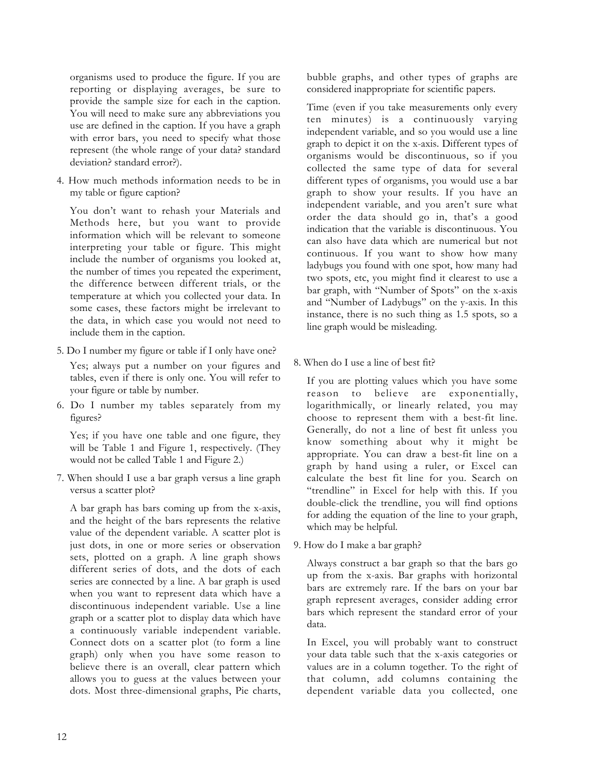organisms used to produce the figure. If you are reporting or displaying averages, be sure to provide the sample size for each in the caption. You will need to make sure any abbreviations you use are defined in the caption. If you have a graph with error bars, you need to specify what those represent (the whole range of your data? standard deviation? standard error?).

4. How much methods information needs to be in my table or figure caption?

You don't want to rehash your Materials and Methods here, but you want to provide information which will be relevant to someone interpreting your table or figure. This might include the number of organisms you looked at, the number of times you repeated the experiment, the difference between different trials, or the temperature at which you collected your data. In some cases, these factors might be irrelevant to the data, in which case you would not need to include them in the caption.

5. Do I number my figure or table if I only have one?

Yes; always put a number on your figures and tables, even if there is only one. You will refer to your figure or table by number.

6. Do I number my tables separately from my figures?

Yes; if you have one table and one figure, they will be Table 1 and Figure 1, respectively. (They would not be called Table 1 and Figure 2.)

7. When should I use a bar graph versus a line graph versus a scatter plot?

A bar graph has bars coming up from the x-axis, and the height of the bars represents the relative value of the dependent variable. A scatter plot is just dots, in one or more series or observation sets, plotted on a graph. A line graph shows different series of dots, and the dots of each series are connected by a line. A bar graph is used when you want to represent data which have a discontinuous independent variable. Use a line graph or a scatter plot to display data which have a continuously variable independent variable. Connect dots on a scatter plot (to form a line graph) only when you have some reason to believe there is an overall, clear pattern which allows you to guess at the values between your dots. Most three-dimensional graphs, Pie charts, bubble graphs, and other types of graphs are considered inappropriate for scientific papers.

Time (even if you take measurements only every ten minutes) is a continuously varying independent variable, and so you would use a line graph to depict it on the x-axis. Different types of organisms would be discontinuous, so if you collected the same type of data for several different types of organisms, you would use a bar graph to show your results. If you have an independent variable, and you aren't sure what order the data should go in, that's a good indication that the variable is discontinuous. You can also have data which are numerical but not continuous. If you want to show how many ladybugs you found with one spot, how many had two spots, etc, you might find it clearest to use a bar graph, with "Number of Spots" on the x-axis and "Number of Ladybugs" on the y-axis. In this instance, there is no such thing as 1.5 spots, so a line graph would be misleading.

8. When do I use a line of best fit?

If you are plotting values which you have some reason to believe are exponentially, logarithmically, or linearly related, you may choose to represent them with a best-fit line. Generally, do not a line of best fit unless you know something about why it might be appropriate. You can draw a best-fit line on a graph by hand using a ruler, or Excel can calculate the best fit line for you. Search on "trendline" in Excel for help with this. If you double-click the trendline, you will find options for adding the equation of the line to your graph, which may be helpful.

9. How do I make a bar graph?

Always construct a bar graph so that the bars go up from the x-axis. Bar graphs with horizontal bars are extremely rare. If the bars on your bar graph represent averages, consider adding error bars which represent the standard error of your data.

In Excel, you will probably want to construct your data table such that the x-axis categories or values are in a column together. To the right of that column, add columns containing the dependent variable data you collected, one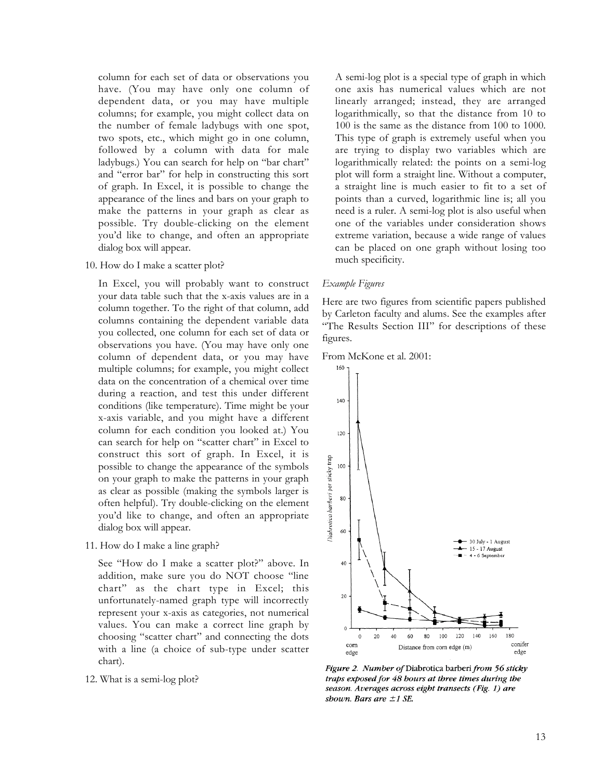column for each set of data or observations you have. (You may have only one column of dependent data, or you may have multiple columns; for example, you might collect data on the number of female ladybugs with one spot, two spots, etc., which might go in one column, followed by a column with data for male ladybugs.) You can search for help on "bar chart" and "error bar" for help in constructing this sort of graph. In Excel, it is possible to change the appearance of the lines and bars on your graph to make the patterns in your graph as clear as possible. Try double-clicking on the element you'd like to change, and often an appropriate dialog box will appear.

10. How do I make a scatter plot?

In Excel, you will probably want to construct your data table such that the x-axis values are in a column together. To the right of that column, add columns containing the dependent variable data you collected, one column for each set of data or observations you have. (You may have only one column of dependent data, or you may have multiple columns; for example, you might collect data on the concentration of a chemical over time during a reaction, and test this under different conditions (like temperature). Time might be your x-axis variable, and you might have a different column for each condition you looked at.) You can search for help on "scatter chart" in Excel to construct this sort of graph. In Excel, it is possible to change the appearance of the symbols on your graph to make the patterns in your graph as clear as possible (making the symbols larger is often helpful). Try double-clicking on the element you'd like to change, and often an appropriate dialog box will appear.

11. How do I make a line graph?

See "How do I make a scatter plot?" above. In addition, make sure you do NOT choose "line chart" as the chart type in Excel; this unfortunately-named graph type will incorrectly represent your x-axis as categories, not numerical values. You can make a correct line graph by choosing "scatter chart" and connecting the dots with a line (a choice of sub-type under scatter chart).

12. What is a semi-log plot?

A semi-log plot is a special type of graph in which one axis has numerical values which are not linearly arranged; instead, they are arranged logarithmically, so that the distance from 10 to 100 is the same as the distance from 100 to 1000. This type of graph is extremely useful when you are trying to display two variables which are logarithmically related: the points on a semi-log plot will form a straight line. Without a computer, a straight line is much easier to fit to a set of points than a curved, logarithmic line is; all you need is a ruler. A semi-log plot is also useful when one of the variables under consideration shows extreme variation, because a wide range of values can be placed on one graph without losing too much specificity.

#### *Example Figures*

Here are two figures from scientific papers published by Carleton faculty and alums. See the examples after "The Results Section III" for descriptions of these figures.





Figure 2. Number of Diabrotica barberi from 56 sticky traps exposed for 48 bours at three times during the season. Averages across eight transects (Fig. 1) are shown. Bars are  $\pm 1$  SE.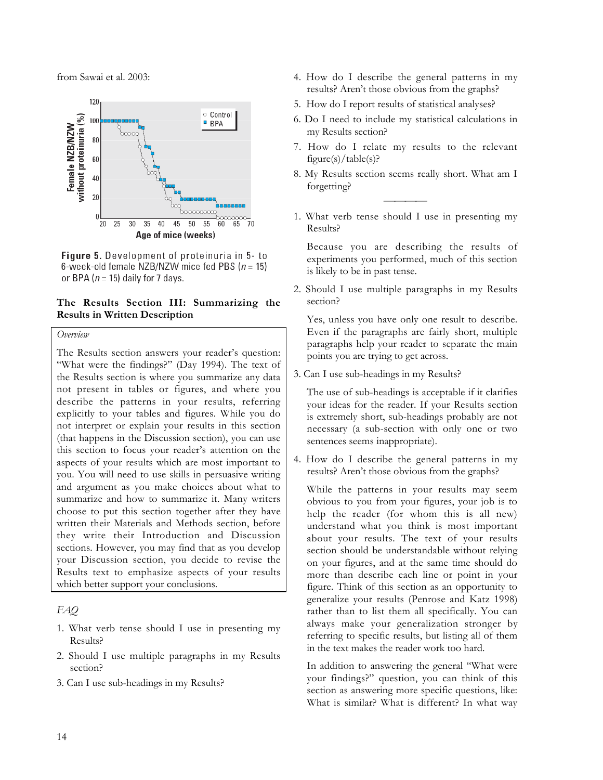from Sawai et al. 2003:



Figure 5. Development of proteinuria in 5- to 6-week-old female NZB/NZW mice fed PBS ( $n = 15$ ) or BPA ( $n = 15$ ) daily for 7 days.

# **The Results Section III: Summarizing the Results in Written Description**

### *Overview*

The Results section answers your reader's question: "What were the findings?" (Day 1994). The text of the Results section is where you summarize any data not present in tables or figures, and where you describe the patterns in your results, referring explicitly to your tables and figures. While you do not interpret or explain your results in this section (that happens in the Discussion section), you can use this section to focus your reader's attention on the aspects of your results which are most important to you. You will need to use skills in persuasive writing and argument as you make choices about what to summarize and how to summarize it. Many writers choose to put this section together after they have written their Materials and Methods section, before they write their Introduction and Discussion sections. However, you may find that as you develop your Discussion section, you decide to revise the Results text to emphasize aspects of your results which better support your conclusions.

*FAQ*

- 1. What verb tense should I use in presenting my Results?
- 2. Should I use multiple paragraphs in my Results section?
- 3. Can I use sub-headings in my Results?
- 4. How do I describe the general patterns in my results? Aren't those obvious from the graphs?
- 5. How do I report results of statistical analyses?
- 6. Do I need to include my statistical calculations in my Results section?
- 7. How do I relate my results to the relevant figure(s)/table(s)?
- 8. My Results section seems really short. What am I forgetting?
- 1. What verb tense should I use in presenting my Results?

 $\overline{\phantom{a}}$ 

Because you are describing the results of experiments you performed, much of this section is likely to be in past tense.

2. Should I use multiple paragraphs in my Results section?

Yes, unless you have only one result to describe. Even if the paragraphs are fairly short, multiple paragraphs help your reader to separate the main points you are trying to get across.

3. Can I use sub-headings in my Results?

The use of sub-headings is acceptable if it clarifies your ideas for the reader. If your Results section is extremely short, sub-headings probably are not necessary (a sub-section with only one or two sentences seems inappropriate).

4. How do I describe the general patterns in my results? Aren't those obvious from the graphs?

While the patterns in your results may seem obvious to you from your figures, your job is to help the reader (for whom this is all new) understand what you think is most important about your results. The text of your results section should be understandable without relying on your figures, and at the same time should do more than describe each line or point in your figure. Think of this section as an opportunity to generalize your results (Penrose and Katz 1998) rather than to list them all specifically. You can always make your generalization stronger by referring to specific results, but listing all of them in the text makes the reader work too hard.

In addition to answering the general "What were your findings?" question, you can think of this section as answering more specific questions, like: What is similar? What is different? In what way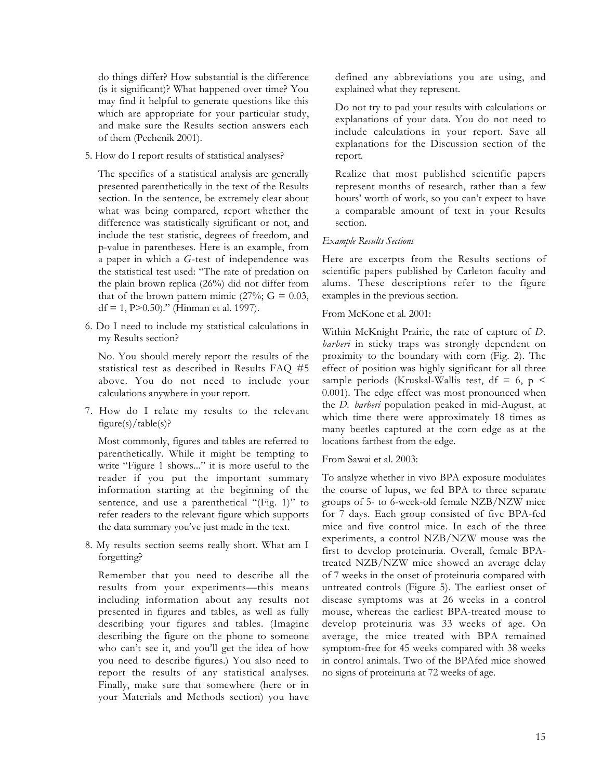do things differ? How substantial is the difference (is it significant)? What happened over time? You may find it helpful to generate questions like this which are appropriate for your particular study, and make sure the Results section answers each of them (Pechenik 2001).

5. How do I report results of statistical analyses?

The specifics of a statistical analysis are generally presented parenthetically in the text of the Results section. In the sentence, be extremely clear about what was being compared, report whether the difference was statistically significant or not, and include the test statistic, degrees of freedom, and p-value in parentheses. Here is an example, from a paper in which a *G*-test of independence was the statistical test used: "The rate of predation on the plain brown replica (26%) did not differ from that of the brown pattern mimic  $(27\%; G = 0.03,$ df = 1,  $P > 0.50$ )." (Hinman et al. 1997).

6. Do I need to include my statistical calculations in my Results section?

No. You should merely report the results of the statistical test as described in Results FAQ #5 above. You do not need to include your calculations anywhere in your report.

7. How do I relate my results to the relevant figure(s)/table(s)?

Most commonly, figures and tables are referred to parenthetically. While it might be tempting to write "Figure 1 shows..." it is more useful to the reader if you put the important summary information starting at the beginning of the sentence, and use a parenthetical "(Fig. 1)" to refer readers to the relevant figure which supports the data summary you've just made in the text.

8. My results section seems really short. What am I forgetting?

Remember that you need to describe all the results from your experiments—this means including information about any results not presented in figures and tables, as well as fully describing your figures and tables. (Imagine describing the figure on the phone to someone who can't see it, and you'll get the idea of how you need to describe figures.) You also need to report the results of any statistical analyses. Finally, make sure that somewhere (here or in your Materials and Methods section) you have

defined any abbreviations you are using, and explained what they represent.

Do not try to pad your results with calculations or explanations of your data. You do not need to include calculations in your report. Save all explanations for the Discussion section of the report.

Realize that most published scientific papers represent months of research, rather than a few hours' worth of work, so you can't expect to have a comparable amount of text in your Results section.

# *Example Results Sections*

Here are excerpts from the Results sections of scientific papers published by Carleton faculty and alums. These descriptions refer to the figure examples in the previous section.

From McKone et al. 2001:

Within McKnight Prairie, the rate of capture of *D. barberi* in sticky traps was strongly dependent on proximity to the boundary with corn (Fig. 2). The effect of position was highly significant for all three sample periods (Kruskal-Wallis test, df = 6, p < 0.001). The edge effect was most pronounced when the *D. barberi* population peaked in mid-August, at which time there were approximately 18 times as many beetles captured at the corn edge as at the locations farthest from the edge.

From Sawai et al. 2003:

To analyze whether in vivo BPA exposure modulates the course of lupus, we fed BPA to three separate groups of 5- to 6-week-old female NZB/NZW mice for 7 days. Each group consisted of five BPA-fed mice and five control mice. In each of the three experiments, a control NZB/NZW mouse was the first to develop proteinuria. Overall, female BPAtreated NZB/NZW mice showed an average delay of 7 weeks in the onset of proteinuria compared with untreated controls (Figure 5). The earliest onset of disease symptoms was at 26 weeks in a control mouse, whereas the earliest BPA-treated mouse to develop proteinuria was 33 weeks of age. On average, the mice treated with BPA remained symptom-free for 45 weeks compared with 38 weeks in control animals. Two of the BPAfed mice showed no signs of proteinuria at 72 weeks of age.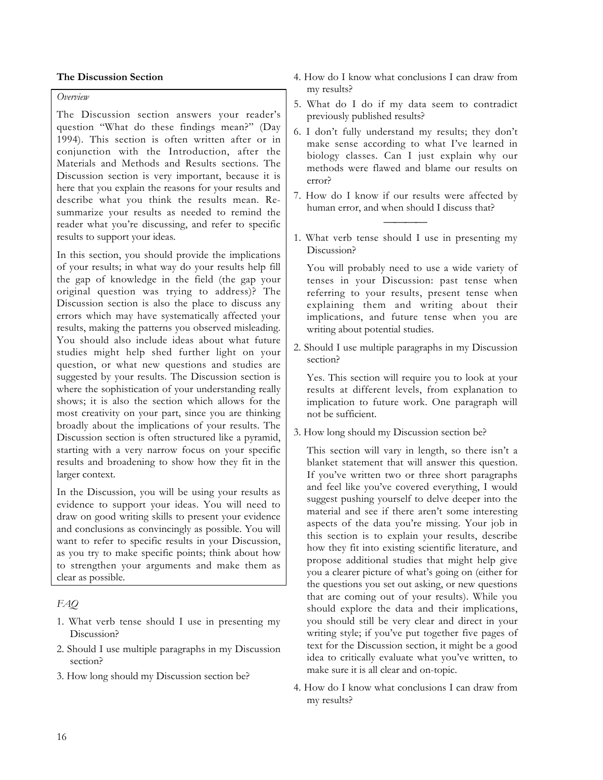# **The Discussion Section**

# *Overview*

The Discussion section answers your reader's question "What do these findings mean?" (Day 1994). This section is often written after or in conjunction with the Introduction, after the Materials and Methods and Results sections. The Discussion section is very important, because it is here that you explain the reasons for your results and describe what you think the results mean. Resummarize your results as needed to remind the reader what you're discussing, and refer to specific results to support your ideas.

In this section, you should provide the implications of your results; in what way do your results help fill the gap of knowledge in the field (the gap your original question was trying to address)? The Discussion section is also the place to discuss any errors which may have systematically affected your results, making the patterns you observed misleading. You should also include ideas about what future studies might help shed further light on your question, or what new questions and studies are suggested by your results. The Discussion section is where the sophistication of your understanding really shows; it is also the section which allows for the most creativity on your part, since you are thinking broadly about the implications of your results. The Discussion section is often structured like a pyramid, starting with a very narrow focus on your specific results and broadening to show how they fit in the larger context.

In the Discussion, you will be using your results as evidence to support your ideas. You will need to draw on good writing skills to present your evidence and conclusions as convincingly as possible. You will want to refer to specific results in your Discussion, as you try to make specific points; think about how to strengthen your arguments and make them as clear as possible.

# *FAQ*

- 1. What verb tense should I use in presenting my Discussion?
- 2. Should I use multiple paragraphs in my Discussion section?
- 3. How long should my Discussion section be?
- 4. How do I know what conclusions I can draw from my results?
- 5. What do I do if my data seem to contradict previously published results?
- 6. I don't fully understand my results; they don't make sense according to what I've learned in biology classes. Can I just explain why our methods were flawed and blame our results on error?
- 7. How do I know if our results were affected by human error, and when should I discuss that?
- 1. What verb tense should I use in presenting my Discussion?

 $\overline{\phantom{a}}$ 

You will probably need to use a wide variety of tenses in your Discussion: past tense when referring to your results, present tense when explaining them and writing about their implications, and future tense when you are writing about potential studies.

2. Should I use multiple paragraphs in my Discussion section?

Yes. This section will require you to look at your results at different levels, from explanation to implication to future work. One paragraph will not be sufficient.

3. How long should my Discussion section be?

This section will vary in length, so there isn't a blanket statement that will answer this question. If you've written two or three short paragraphs and feel like you've covered everything, I would suggest pushing yourself to delve deeper into the material and see if there aren't some interesting aspects of the data you're missing. Your job in this section is to explain your results, describe how they fit into existing scientific literature, and propose additional studies that might help give you a clearer picture of what's going on (either for the questions you set out asking, or new questions that are coming out of your results). While you should explore the data and their implications, you should still be very clear and direct in your writing style; if you've put together five pages of text for the Discussion section, it might be a good idea to critically evaluate what you've written, to make sure it is all clear and on-topic.

4. How do I know what conclusions I can draw from my results?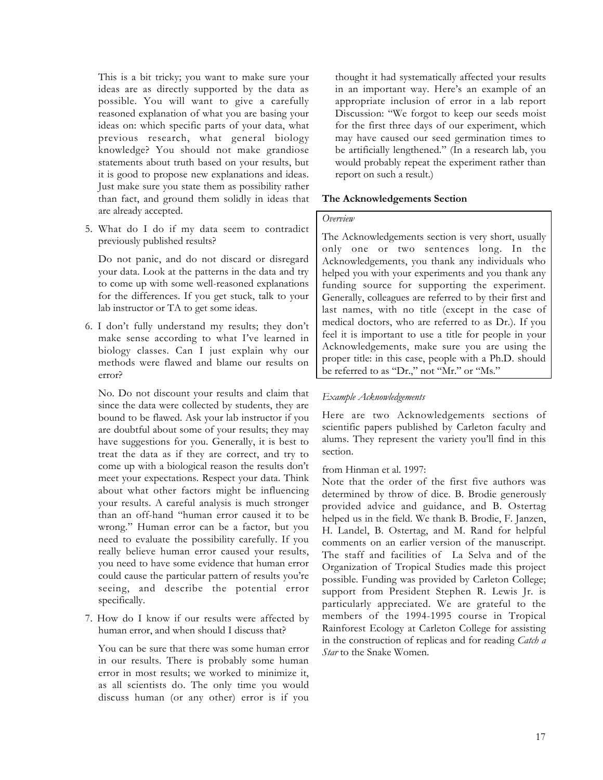This is a bit tricky; you want to make sure your ideas are as directly supported by the data as possible. You will want to give a carefully reasoned explanation of what you are basing your ideas on: which specific parts of your data, what previous research, what general biology knowledge? You should not make grandiose statements about truth based on your results, but it is good to propose new explanations and ideas. Just make sure you state them as possibility rather than fact, and ground them solidly in ideas that are already accepted.

5. What do I do if my data seem to contradict previously published results?

Do not panic, and do not discard or disregard your data. Look at the patterns in the data and try to come up with some well-reasoned explanations for the differences. If you get stuck, talk to your lab instructor or TA to get some ideas.

6. I don't fully understand my results; they don't make sense according to what I've learned in biology classes. Can I just explain why our methods were flawed and blame our results on error?

No. Do not discount your results and claim that since the data were collected by students, they are bound to be flawed. Ask your lab instructor if you are doubtful about some of your results; they may have suggestions for you. Generally, it is best to treat the data as if they are correct, and try to come up with a biological reason the results don't meet your expectations. Respect your data. Think about what other factors might be influencing your results. A careful analysis is much stronger than an off-hand "human error caused it to be wrong." Human error can be a factor, but you need to evaluate the possibility carefully. If you really believe human error caused your results, you need to have some evidence that human error could cause the particular pattern of results you're seeing, and describe the potential error specifically.

7. How do I know if our results were affected by human error, and when should I discuss that?

You can be sure that there was some human error in our results. There is probably some human error in most results; we worked to minimize it, as all scientists do. The only time you would discuss human (or any other) error is if you

thought it had systematically affected your results in an important way. Here's an example of an appropriate inclusion of error in a lab report Discussion: "We forgot to keep our seeds moist for the first three days of our experiment, which may have caused our seed germination times to be artificially lengthened." (In a research lab, you would probably repeat the experiment rather than report on such a result.)

## **The Acknowledgements Section**

## *Overview*

The Acknowledgements section is very short, usually only one or two sentences long. In the Acknowledgements, you thank any individuals who helped you with your experiments and you thank any funding source for supporting the experiment. Generally, colleagues are referred to by their first and last names, with no title (except in the case of medical doctors, who are referred to as Dr.). If you feel it is important to use a title for people in your Acknowledgements, make sure you are using the proper title: in this case, people with a Ph.D. should be referred to as "Dr.," not "Mr." or "Ms."

### *Example Acknowledgements*

Here are two Acknowledgements sections of scientific papers published by Carleton faculty and alums. They represent the variety you'll find in this section.

### from Hinman et al. 1997:

Note that the order of the first five authors was determined by throw of dice. B. Brodie generously provided advice and guidance, and B. Ostertag helped us in the field. We thank B. Brodie, F. Janzen, H. Landel, B. Ostertag, and M. Rand for helpful comments on an earlier version of the manuscript. The staff and facilities of La Selva and of the Organization of Tropical Studies made this project possible. Funding was provided by Carleton College; support from President Stephen R. Lewis Jr. is particularly appreciated. We are grateful to the members of the 1994-1995 course in Tropical Rainforest Ecology at Carleton College for assisting in the construction of replicas and for reading *Catch a Star* to the Snake Women.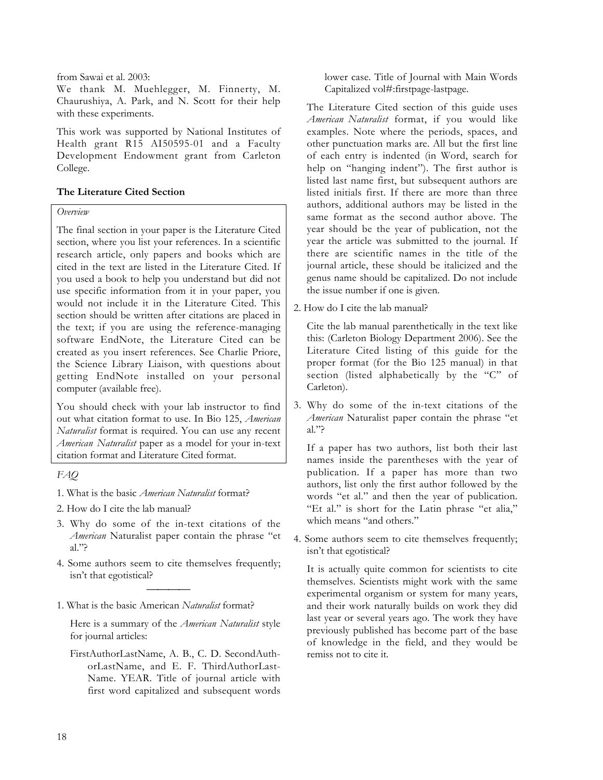from Sawai et al. 2003:

We thank M. Muehlegger, M. Finnerty, M. Chaurushiya, A. Park, and N. Scott for their help with these experiments.

This work was supported by National Institutes of Health grant R15 AI50595-01 and a Faculty Development Endowment grant from Carleton College.

# **The Literature Cited Section**

# *Overview*

The final section in your paper is the Literature Cited section, where you list your references. In a scientific research article, only papers and books which are cited in the text are listed in the Literature Cited. If you used a book to help you understand but did not use specific information from it in your paper, you would not include it in the Literature Cited. This section should be written after citations are placed in the text; if you are using the reference-managing software EndNote, the Literature Cited can be created as you insert references. See Charlie Priore, the Science Library Liaison, with questions about getting EndNote installed on your personal computer (available free).

You should check with your lab instructor to find out what citation format to use. In Bio 125, *American Naturalist* format is required. You can use any recent *American Naturalist* paper as a model for your in-text citation format and Literature Cited format.

*FAQ*

- 1. What is the basic *American Naturalist* format?
- 2. How do I cite the lab manual?
- 3. Why do some of the in-text citations of the *American* Naturalist paper contain the phrase "et al."?
- 4. Some authors seem to cite themselves frequently; isn't that egotistical?

 $\overline{\phantom{a}}$ 

1. What is the basic American *Naturalist* format?

Here is a summary of the *American Naturalist* style for journal articles:

FirstAuthorLastName, A. B., C. D. SecondAuthorLastName, and E. F. ThirdAuthorLast-Name. YEAR. Title of journal article with first word capitalized and subsequent words lower case. Title of Journal with Main Words Capitalized vol#:firstpage-lastpage.

The Literature Cited section of this guide uses *American Naturalist* format, if you would like examples. Note where the periods, spaces, and other punctuation marks are. All but the first line of each entry is indented (in Word, search for help on "hanging indent"). The first author is listed last name first, but subsequent authors are listed initials first. If there are more than three authors, additional authors may be listed in the same format as the second author above. The year should be the year of publication, not the year the article was submitted to the journal. If there are scientific names in the title of the journal article, these should be italicized and the genus name should be capitalized. Do not include the issue number if one is given.

2. How do I cite the lab manual?

Cite the lab manual parenthetically in the text like this: (Carleton Biology Department 2006). See the Literature Cited listing of this guide for the proper format (for the Bio 125 manual) in that section (listed alphabetically by the "C" of Carleton).

3. Why do some of the in-text citations of the *American* Naturalist paper contain the phrase "et al."?

If a paper has two authors, list both their last names inside the parentheses with the year of publication. If a paper has more than two authors, list only the first author followed by the words "et al." and then the year of publication. "Et al." is short for the Latin phrase "et alia," which means "and others."

4. Some authors seem to cite themselves frequently; isn't that egotistical?

It is actually quite common for scientists to cite themselves. Scientists might work with the same experimental organism or system for many years, and their work naturally builds on work they did last year or several years ago. The work they have previously published has become part of the base of knowledge in the field, and they would be remiss not to cite it.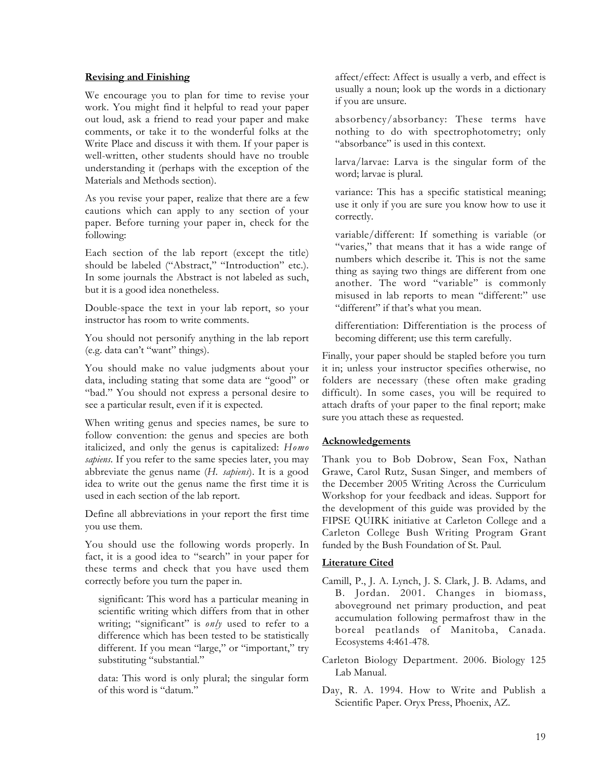## **Revising and Finishing**

We encourage you to plan for time to revise your work. You might find it helpful to read your paper out loud, ask a friend to read your paper and make comments, or take it to the wonderful folks at the Write Place and discuss it with them. If your paper is well-written, other students should have no trouble understanding it (perhaps with the exception of the Materials and Methods section).

As you revise your paper, realize that there are a few cautions which can apply to any section of your paper. Before turning your paper in, check for the following:

Each section of the lab report (except the title) should be labeled ("Abstract," "Introduction" etc.). In some journals the Abstract is not labeled as such, but it is a good idea nonetheless.

Double-space the text in your lab report, so your instructor has room to write comments.

You should not personify anything in the lab report (e.g. data can't "want" things).

You should make no value judgments about your data, including stating that some data are "good" or "bad." You should not express a personal desire to see a particular result, even if it is expected.

When writing genus and species names, be sure to follow convention: the genus and species are both italicized, and only the genus is capitalized: *Homo sapiens*. If you refer to the same species later, you may abbreviate the genus name (*H. sapiens*). It is a good idea to write out the genus name the first time it is used in each section of the lab report.

Define all abbreviations in your report the first time you use them.

You should use the following words properly. In fact, it is a good idea to "search" in your paper for these terms and check that you have used them correctly before you turn the paper in.

significant: This word has a particular meaning in scientific writing which differs from that in other writing; "significant" is *only* used to refer to a difference which has been tested to be statistically different. If you mean "large," or "important," try substituting "substantial."

data: This word is only plural; the singular form of this word is "datum."

affect/effect: Affect is usually a verb, and effect is usually a noun; look up the words in a dictionary if you are unsure.

absorbency/absorbancy: These terms have nothing to do with spectrophotometry; only "absorbance" is used in this context.

larva/larvae: Larva is the singular form of the word; larvae is plural.

variance: This has a specific statistical meaning; use it only if you are sure you know how to use it correctly.

variable/different: If something is variable (or "varies," that means that it has a wide range of numbers which describe it. This is not the same thing as saying two things are different from one another. The word "variable" is commonly misused in lab reports to mean "different:" use "different" if that's what you mean.

differentiation: Differentiation is the process of becoming different; use this term carefully.

Finally, your paper should be stapled before you turn it in; unless your instructor specifies otherwise, no folders are necessary (these often make grading difficult). In some cases, you will be required to attach drafts of your paper to the final report; make sure you attach these as requested.

# **Acknowledgements**

Thank you to Bob Dobrow, Sean Fox, Nathan Grawe, Carol Rutz, Susan Singer, and members of the December 2005 Writing Across the Curriculum Workshop for your feedback and ideas. Support for the development of this guide was provided by the FIPSE QUIRK initiative at Carleton College and a Carleton College Bush Writing Program Grant funded by the Bush Foundation of St. Paul.

# **Literature Cited**

- Camill, P., J. A. Lynch, J. S. Clark, J. B. Adams, and B. Jordan. 2001. Changes in biomass, aboveground net primary production, and peat accumulation following permafrost thaw in the boreal peatlands of Manitoba, Canada. Ecosystems 4:461-478.
- Carleton Biology Department. 2006. Biology 125 Lab Manual.
- Day, R. A. 1994. How to Write and Publish a Scientific Paper. Oryx Press, Phoenix, AZ.